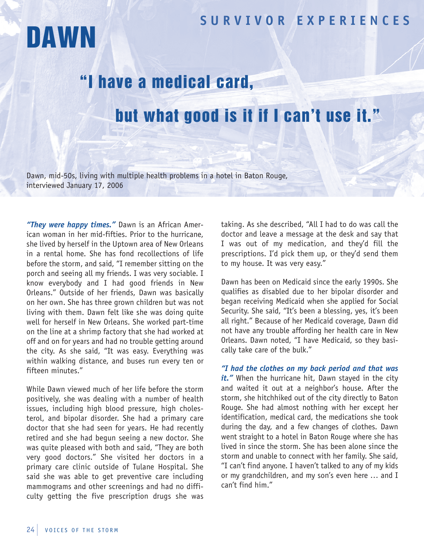## **SUR V I V OR EX P ER I ENCES**

## DAWN

## "I have a medical card,

## but what good is it if I can't use it."

Dawn, mid-50s, living with multiple health problems in a hotel in Baton Rouge, interviewed January 17, 2006

*"They were happy times."* Dawn is an African American woman in her mid-fifties. Prior to the hurricane, she lived by herself in the Uptown area of New Orleans in a rental home. She has fond recollections of life before the storm, and said, "I remember sitting on the porch and seeing all my friends. I was very sociable. I know everybody and I had good friends in New Orleans." Outside of her friends, Dawn was basically on her own. She has three grown children but was not living with them. Dawn felt like she was doing quite well for herself in New Orleans. She worked part-time on the line at a shrimp factory that she had worked at off and on for years and had no trouble getting around the city. As she said, "It was easy. Everything was within walking distance, and buses run every ten or fifteen minutes."

While Dawn viewed much of her life before the storm positively, she was dealing with a number of health issues, including high blood pressure, high cholesterol, and bipolar disorder. She had a primary care doctor that she had seen for years. He had recently retired and she had begun seeing a new doctor. She was quite pleased with both and said, "They are both very good doctors." She visited her doctors in a primary care clinic outside of Tulane Hospital. She said she was able to get preventive care including mammograms and other screenings and had no difficulty getting the five prescription drugs she was

taking. As she described, "All I had to do was call the doctor and leave a message at the desk and say that I was out of my medication, and they'd fill the prescriptions. I'd pick them up, or they'd send them to my house. It was very easy."

Dawn has been on Medicaid since the early 1990s. She qualifies as disabled due to her bipolar disorder and began receiving Medicaid when she applied for Social Security. She said, "It's been a blessing, yes, it's been all right." Because of her Medicaid coverage, Dawn did not have any trouble affording her health care in New Orleans. Dawn noted, "I have Medicaid, so they basically take care of the bulk."

*"I had the clothes on my back period and that was it."* When the hurricane hit, Dawn stayed in the city and waited it out at a neighbor's house. After the storm, she hitchhiked out of the city directly to Baton Rouge. She had almost nothing with her except her identification, medical card, the medications she took during the day, and a few changes of clothes. Dawn went straight to a hotel in Baton Rouge where she has lived in since the storm. She has been alone since the storm and unable to connect with her family. She said, "I can't find anyone. I haven't talked to any of my kids or my grandchildren, and my son's even here … and I can't find him."